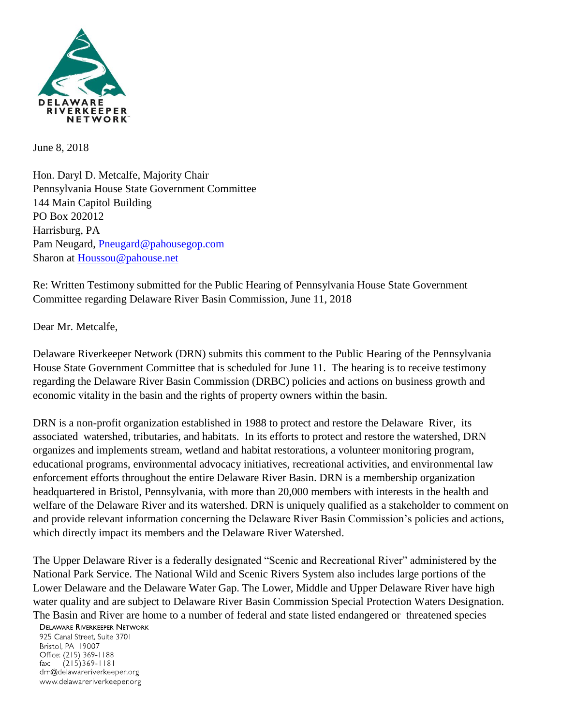

June 8, 2018

Hon. Daryl D. Metcalfe, Majority Chair Pennsylvania House State Government Committee 144 Main Capitol Building PO Box 202012 Harrisburg, PA Pam Neugard, [Pneugard@pahousegop.com](mailto:Pneugard@pahousegop.com) Sharon at [Houssou@pahouse.net](mailto:Houssou@pahouse.net)

Re: Written Testimony submitted for the Public Hearing of Pennsylvania House State Government Committee regarding Delaware River Basin Commission, June 11, 2018

Dear Mr. Metcalfe,

Delaware Riverkeeper Network (DRN) submits this comment to the Public Hearing of the Pennsylvania House State Government Committee that is scheduled for June 11. The hearing is to receive testimony regarding the Delaware River Basin Commission (DRBC) policies and actions on business growth and economic vitality in the basin and the rights of property owners within the basin.

DRN is a non-profit organization established in 1988 to protect and restore the Delaware River, its associated watershed, tributaries, and habitats. In its efforts to protect and restore the watershed, DRN organizes and implements stream, wetland and habitat restorations, a volunteer monitoring program, educational programs, environmental advocacy initiatives, recreational activities, and environmental law enforcement efforts throughout the entire Delaware River Basin. DRN is a membership organization headquartered in Bristol, Pennsylvania, with more than 20,000 members with interests in the health and welfare of the Delaware River and its watershed. DRN is uniquely qualified as a stakeholder to comment on and provide relevant information concerning the Delaware River Basin Commission's policies and actions, which directly impact its members and the Delaware River Watershed.

The Upper Delaware River is a federally designated "Scenic and Recreational River" administered by the National Park Service. The National Wild and Scenic Rivers System also includes large portions of the Lower Delaware and the Delaware Water Gap. The Lower, Middle and Upper Delaware River have high water quality and are subject to Delaware River Basin Commission Special Protection Waters Designation. The Basin and River are home to a number of federal and state listed endangered or threatened species

## **DELAWARE RIVERKEEPER NETWORK**

925 Canal Street, Suite 3701 Bristol, PA 19007 Office: (215) 369-1188  $(215)369 - 1181$  $\mathsf{fax:}$ drn@delawareriverkeeper.org www.delawareriverkeeper.org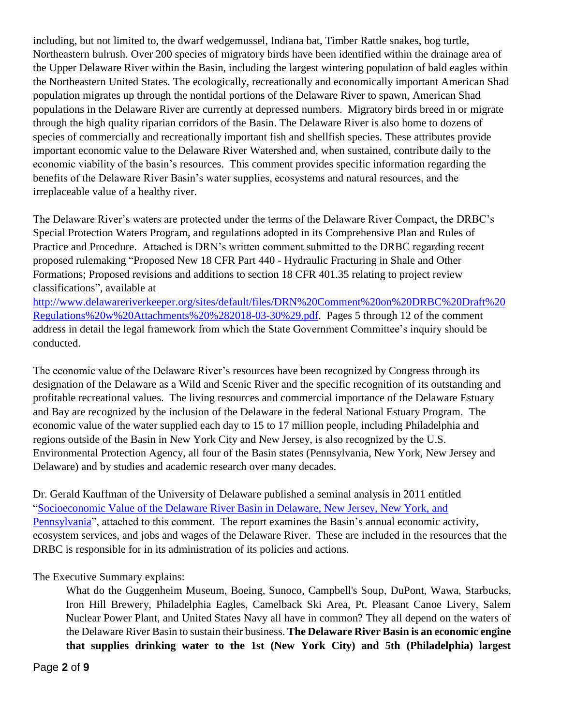including, but not limited to, the dwarf wedgemussel, Indiana bat, Timber Rattle snakes, bog turtle, Northeastern bulrush. Over 200 species of migratory birds have been identified within the drainage area of the Upper Delaware River within the Basin, including the largest wintering population of bald eagles within the Northeastern United States. The ecologically, recreationally and economically important American Shad population migrates up through the nontidal portions of the Delaware River to spawn, American Shad populations in the Delaware River are currently at depressed numbers. Migratory birds breed in or migrate through the high quality riparian corridors of the Basin. The Delaware River is also home to dozens of species of commercially and recreationally important fish and shellfish species. These attributes provide important economic value to the Delaware River Watershed and, when sustained, contribute daily to the economic viability of the basin's resources. This comment provides specific information regarding the benefits of the Delaware River Basin's water supplies, ecosystems and natural resources, and the irreplaceable value of a healthy river.

The Delaware River's waters are protected under the terms of the Delaware River Compact, the DRBC's Special Protection Waters Program, and regulations adopted in its Comprehensive Plan and Rules of Practice and Procedure. Attached is DRN's written comment submitted to the DRBC regarding recent proposed rulemaking "Proposed New 18 CFR Part 440 - Hydraulic Fracturing in Shale and Other Formations; Proposed revisions and additions to section 18 CFR 401.35 relating to project review classifications", available at

[http://www.delawareriverkeeper.org/sites/default/files/DRN%20Comment%20on%20DRBC%20Draft%20](http://www.delawareriverkeeper.org/sites/default/files/DRN%20Comment%20on%20DRBC%20Draft%20Regulations%20w%20Attachments%20%282018-03-30%29.pdf) [Regulations%20w%20Attachments%20%282018-03-30%29.pdf.](http://www.delawareriverkeeper.org/sites/default/files/DRN%20Comment%20on%20DRBC%20Draft%20Regulations%20w%20Attachments%20%282018-03-30%29.pdf) Pages 5 through 12 of the comment address in detail the legal framework from which the State Government Committee's inquiry should be conducted.

The economic value of the Delaware River's resources have been recognized by Congress through its designation of the Delaware as a Wild and Scenic River and the specific recognition of its outstanding and profitable recreational values. The living resources and commercial importance of the Delaware Estuary and Bay are recognized by the inclusion of the Delaware in the federal National Estuary Program. The economic value of the water supplied each day to 15 to 17 million people, including Philadelphia and regions outside of the Basin in New York City and New Jersey, is also recognized by the U.S. Environmental Protection Agency, all four of the Basin states (Pennsylvania, New York, New Jersey and Delaware) and by studies and academic research over many decades.

Dr. Gerald Kauffman of the University of Delaware published a seminal analysis in 2011 entitled ["Socioeconomic Value of the Delaware River Basin in Delaware, New Jersey, New York, and](http://delawareriverkeeper.org/sites/default/files/resources/Reports/SocioeconomicValueoftheDRB_UDELdraftreport.pdf)  [Pennsylvania"](http://delawareriverkeeper.org/sites/default/files/resources/Reports/SocioeconomicValueoftheDRB_UDELdraftreport.pdf), attached to this comment. The report examines the Basin's annual economic activity, ecosystem services, and jobs and wages of the Delaware River. These are included in the resources that the DRBC is responsible for in its administration of its policies and actions.

The Executive Summary explains:

What do the Guggenheim Museum, Boeing, Sunoco, Campbell's Soup, DuPont, Wawa, Starbucks, Iron Hill Brewery, Philadelphia Eagles, Camelback Ski Area, Pt. Pleasant Canoe Livery, Salem Nuclear Power Plant, and United States Navy all have in common? They all depend on the waters of the Delaware River Basin to sustain their business. **The Delaware River Basin is an economic engine that supplies drinking water to the 1st (New York City) and 5th (Philadelphia) largest**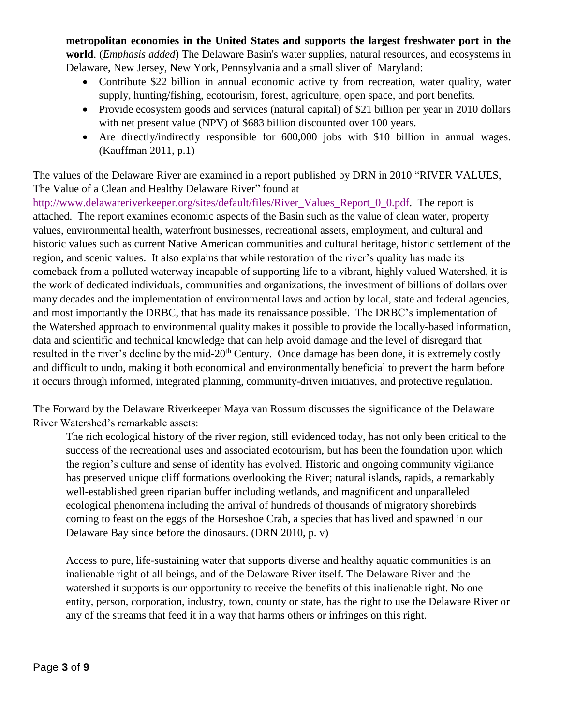**metropolitan economies in the United States and supports the largest freshwater port in the world**. (*Emphasis added*) The Delaware Basin's water supplies, natural resources, and ecosystems in Delaware, New Jersey, New York, Pennsylvania and a small sliver of Maryland:

- Contribute \$22 billion in annual economic active ty from recreation, water quality, water supply, hunting/fishing, ecotourism, forest, agriculture, open space, and port benefits.
- Provide ecosystem goods and services (natural capital) of \$21 billion per year in 2010 dollars with net present value (NPV) of \$683 billion discounted over 100 years.
- Are directly/indirectly responsible for 600,000 jobs with \$10 billion in annual wages. (Kauffman 2011, p.1)

The values of the Delaware River are examined in a report published by DRN in 2010 "RIVER VALUES, The Value of a Clean and Healthy Delaware River" found at

[http://www.delawareriverkeeper.org/sites/default/files/River\\_Values\\_Report\\_0\\_0.pdf.](http://www.delawareriverkeeper.org/sites/default/files/River_Values_Report_0_0.pdf) The report is attached. The report examines economic aspects of the Basin such as the value of clean water, property values, environmental health, waterfront businesses, recreational assets, employment, and cultural and historic values such as current Native American communities and cultural heritage, historic settlement of the region, and scenic values. It also explains that while restoration of the river's quality has made its comeback from a polluted waterway incapable of supporting life to a vibrant, highly valued Watershed, it is the work of dedicated individuals, communities and organizations, the investment of billions of dollars over many decades and the implementation of environmental laws and action by local, state and federal agencies, and most importantly the DRBC, that has made its renaissance possible. The DRBC's implementation of the Watershed approach to environmental quality makes it possible to provide the locally-based information, data and scientific and technical knowledge that can help avoid damage and the level of disregard that resulted in the river's decline by the mid-20<sup>th</sup> Century. Once damage has been done, it is extremely costly and difficult to undo, making it both economical and environmentally beneficial to prevent the harm before it occurs through informed, integrated planning, community-driven initiatives, and protective regulation.

The Forward by the Delaware Riverkeeper Maya van Rossum discusses the significance of the Delaware River Watershed's remarkable assets:

The rich ecological history of the river region, still evidenced today, has not only been critical to the success of the recreational uses and associated ecotourism, but has been the foundation upon which the region's culture and sense of identity has evolved. Historic and ongoing community vigilance has preserved unique cliff formations overlooking the River; natural islands, rapids, a remarkably well-established green riparian buffer including wetlands, and magnificent and unparalleled ecological phenomena including the arrival of hundreds of thousands of migratory shorebirds coming to feast on the eggs of the Horseshoe Crab, a species that has lived and spawned in our Delaware Bay since before the dinosaurs. (DRN 2010, p. v)

Access to pure, life-sustaining water that supports diverse and healthy aquatic communities is an inalienable right of all beings, and of the Delaware River itself. The Delaware River and the watershed it supports is our opportunity to receive the benefits of this inalienable right. No one entity, person, corporation, industry, town, county or state, has the right to use the Delaware River or any of the streams that feed it in a way that harms others or infringes on this right.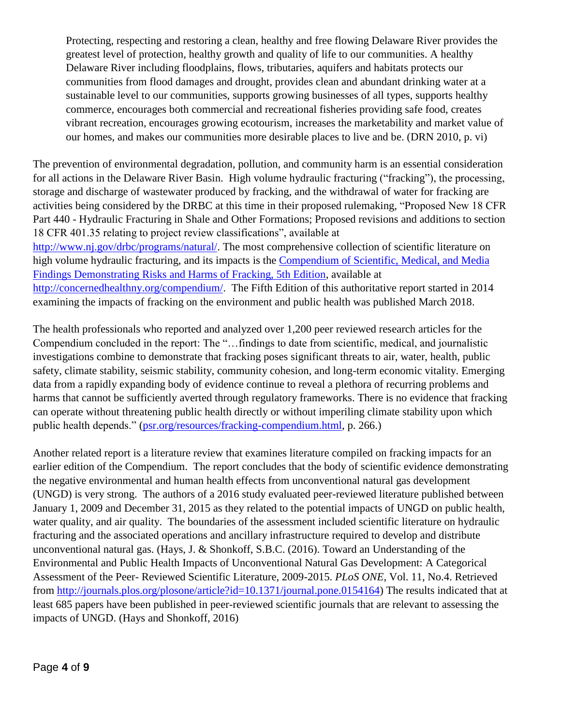Protecting, respecting and restoring a clean, healthy and free flowing Delaware River provides the greatest level of protection, healthy growth and quality of life to our communities. A healthy Delaware River including floodplains, flows, tributaries, aquifers and habitats protects our communities from flood damages and drought, provides clean and abundant drinking water at a sustainable level to our communities, supports growing businesses of all types, supports healthy commerce, encourages both commercial and recreational fisheries providing safe food, creates vibrant recreation, encourages growing ecotourism, increases the marketability and market value of our homes, and makes our communities more desirable places to live and be. (DRN 2010, p. vi)

The prevention of environmental degradation, pollution, and community harm is an essential consideration for all actions in the Delaware River Basin. High volume hydraulic fracturing ("fracking"), the processing, storage and discharge of wastewater produced by fracking, and the withdrawal of water for fracking are activities being considered by the DRBC at this time in their proposed rulemaking, "Proposed New 18 CFR Part 440 - Hydraulic Fracturing in Shale and Other Formations; Proposed revisions and additions to section 18 CFR 401.35 relating to project review classifications", available at [http://www.nj.gov/drbc/programs/natural/.](http://www.nj.gov/drbc/programs/natural/) The most comprehensive collection of scientific literature on high volume hydraulic fracturing, and its impacts is the [Compendium of Scientific, Medical, and Media](http://concernedhealthny.org/compendium/)  [Findings Demonstrating Risks and Harms of Fracking, 5th Edition,](http://concernedhealthny.org/compendium/) available at [http://concernedhealthny.org/compendium/.](http://concernedhealthny.org/compendium/) The Fifth Edition of this authoritative report started in 2014 examining the impacts of fracking on the environment and public health was published March 2018.

The health professionals who reported and analyzed over 1,200 peer reviewed research articles for the Compendium concluded in the report: The "…findings to date from scientific, medical, and journalistic investigations combine to demonstrate that fracking poses significant threats to air, water, health, public safety, climate stability, seismic stability, community cohesion, and long-term economic vitality. Emerging data from a rapidly expanding body of evidence continue to reveal a plethora of recurring problems and harms that cannot be sufficiently averted through regulatory frameworks. There is no evidence that fracking can operate without threatening public health directly or without imperiling climate stability upon which public health depends." [\(psr.org/resources/fracking-compendium.html,](http://psr.org/resources/fracking-compendium.html) p. 266.)

Another related report is a literature review that examines literature compiled on fracking impacts for an earlier edition of the Compendium. The report concludes that the body of scientific evidence demonstrating the negative environmental and human health effects from unconventional natural gas development (UNGD) is very strong. The authors of a 2016 study evaluated peer-reviewed literature published between January 1, 2009 and December 31, 2015 as they related to the potential impacts of UNGD on public health, water quality, and air quality. The boundaries of the assessment included scientific literature on hydraulic fracturing and the associated operations and ancillary infrastructure required to develop and distribute unconventional natural gas. (Hays, J. & Shonkoff, S.B.C. (2016). Toward an Understanding of the Environmental and Public Health Impacts of Unconventional Natural Gas Development: A Categorical Assessment of the Peer- Reviewed Scientific Literature, 2009-2015. *PLoS ONE*, Vol. 11, No.4. Retrieved from [http://journals.plos.org/plosone/article?id=10.1371/journal.pone.0154164\)](http://journals.plos.org/plosone/article?id=10.1371/journal.pone.0154164) The results indicated that at least 685 papers have been published in peer-reviewed scientific journals that are relevant to assessing the impacts of UNGD. (Hays and Shonkoff, 2016)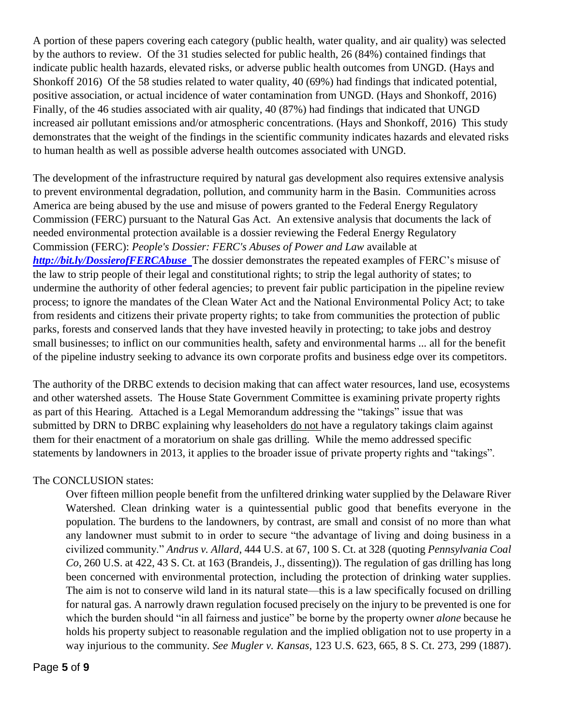A portion of these papers covering each category (public health, water quality, and air quality) was selected by the authors to review. Of the 31 studies selected for public health, 26 (84%) contained findings that indicate public health hazards, elevated risks, or adverse public health outcomes from UNGD. (Hays and Shonkoff 2016) Of the 58 studies related to water quality, 40 (69%) had findings that indicated potential, positive association, or actual incidence of water contamination from UNGD. (Hays and Shonkoff, 2016) Finally, of the 46 studies associated with air quality, 40 (87%) had findings that indicated that UNGD increased air pollutant emissions and/or atmospheric concentrations. (Hays and Shonkoff, 2016) This study demonstrates that the weight of the findings in the scientific community indicates hazards and elevated risks to human health as well as possible adverse health outcomes associated with UNGD.

The development of the infrastructure required by natural gas development also requires extensive analysis to prevent environmental degradation, pollution, and community harm in the Basin. Communities across America are being abused by the use and misuse of powers granted to the Federal Energy Regulatory Commission (FERC) pursuant to the Natural Gas Act. An extensive analysis that documents the lack of needed environmental protection available is a dossier reviewing the Federal Energy Regulatory Commission (FERC): *People's Dossier: FERC's Abuses of Power and Law* available at *<http://bit.ly/DossierofFERCAbuse>*The dossier demonstrates the repeated examples of FERC's misuse of the law to strip people of their legal and constitutional rights; to strip the legal authority of states; to undermine the authority of other federal agencies; to prevent fair public participation in the pipeline review process; to ignore the mandates of the Clean Water Act and the National Environmental Policy Act; to take from residents and citizens their private property rights; to take from communities the protection of public parks, forests and conserved lands that they have invested heavily in protecting; to take jobs and destroy small businesses; to inflict on our communities health, safety and environmental harms ... all for the benefit of the pipeline industry seeking to advance its own corporate profits and business edge over its competitors.

The authority of the DRBC extends to decision making that can affect water resources, land use, ecosystems and other watershed assets. The House State Government Committee is examining private property rights as part of this Hearing. Attached is a Legal Memorandum addressing the "takings" issue that was submitted by DRN to DRBC explaining why leaseholders do not have a regulatory takings claim against them for their enactment of a moratorium on shale gas drilling. While the memo addressed specific statements by landowners in 2013, it applies to the broader issue of private property rights and "takings".

## The CONCLUSION states:

Over fifteen million people benefit from the unfiltered drinking water supplied by the Delaware River Watershed. Clean drinking water is a quintessential public good that benefits everyone in the population. The burdens to the landowners, by contrast, are small and consist of no more than what any landowner must submit to in order to secure "the advantage of living and doing business in a civilized community." *Andrus v. Allard*, 444 U.S. at 67, 100 S. Ct. at 328 (quoting *Pennsylvania Coal Co*, 260 U.S. at 422, 43 S. Ct. at 163 (Brandeis, J., dissenting)). The regulation of gas drilling has long been concerned with environmental protection, including the protection of drinking water supplies. The aim is not to conserve wild land in its natural state—this is a law specifically focused on drilling for natural gas. A narrowly drawn regulation focused precisely on the injury to be prevented is one for which the burden should "in all fairness and justice" be borne by the property owner *alone* because he holds his property subject to reasonable regulation and the implied obligation not to use property in a way injurious to the community. *See Mugler v. Kansas*, 123 U.S. 623, 665, 8 S. Ct. 273, 299 (1887).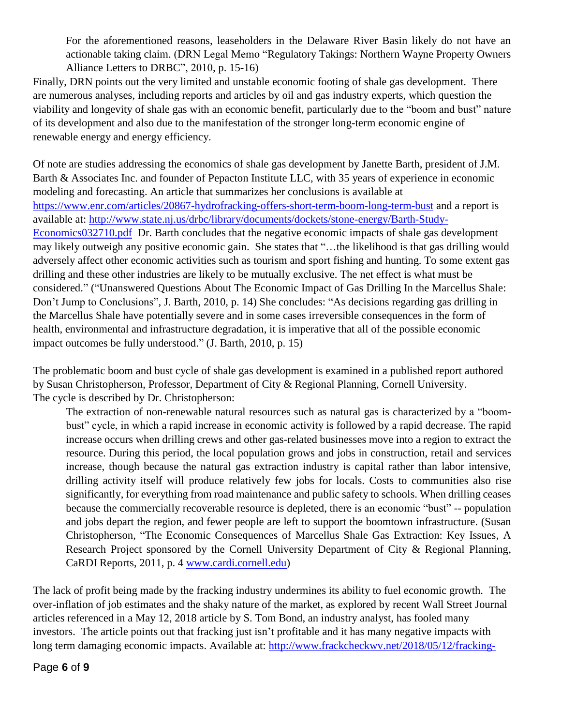For the aforementioned reasons, leaseholders in the Delaware River Basin likely do not have an actionable taking claim. (DRN Legal Memo "Regulatory Takings: Northern Wayne Property Owners Alliance Letters to DRBC", 2010, p. 15-16)

Finally, DRN points out the very limited and unstable economic footing of shale gas development. There are numerous analyses, including reports and articles by oil and gas industry experts, which question the viability and longevity of shale gas with an economic benefit, particularly due to the "boom and bust" nature of its development and also due to the manifestation of the stronger long-term economic engine of renewable energy and energy efficiency.

Of note are studies addressing the economics of shale gas development by Janette Barth, president of J.M. Barth & Associates Inc. and founder of Pepacton Institute LLC, with 35 years of experience in economic modeling and forecasting. An article that summarizes her conclusions is available at <https://www.enr.com/articles/20867-hydrofracking-offers-short-term-boom-long-term-bust> and a report is available at: [http://www.state.nj.us/drbc/library/documents/dockets/stone-energy/Barth-Study-](http://www.state.nj.us/drbc/library/documents/dockets/stone-energy/Barth-Study-Economics032710.pdf)[Economics032710.pdf](http://www.state.nj.us/drbc/library/documents/dockets/stone-energy/Barth-Study-Economics032710.pdf) Dr. Barth concludes that the negative economic impacts of shale gas development may likely outweigh any positive economic gain. She states that "…the likelihood is that gas drilling would adversely affect other economic activities such as tourism and sport fishing and hunting. To some extent gas drilling and these other industries are likely to be mutually exclusive. The net effect is what must be considered." ("Unanswered Questions About The Economic Impact of Gas Drilling In the Marcellus Shale: Don't Jump to Conclusions", J. Barth, 2010, p. 14) She concludes: "As decisions regarding gas drilling in the Marcellus Shale have potentially severe and in some cases irreversible consequences in the form of health, environmental and infrastructure degradation, it is imperative that all of the possible economic impact outcomes be fully understood." (J. Barth, 2010, p. 15)

The problematic boom and bust cycle of shale gas development is examined in a published report authored by Susan Christopherson, Professor, Department of City & Regional Planning, Cornell University. The cycle is described by Dr. Christopherson:

The extraction of non-renewable natural resources such as natural gas is characterized by a "boombust" cycle, in which a rapid increase in economic activity is followed by a rapid decrease. The rapid increase occurs when drilling crews and other gas-related businesses move into a region to extract the resource. During this period, the local population grows and jobs in construction, retail and services increase, though because the natural gas extraction industry is capital rather than labor intensive, drilling activity itself will produce relatively few jobs for locals. Costs to communities also rise significantly, for everything from road maintenance and public safety to schools. When drilling ceases because the commercially recoverable resource is depleted, there is an economic "bust" -- population and jobs depart the region, and fewer people are left to support the boomtown infrastructure. (Susan Christopherson, "The Economic Consequences of Marcellus Shale Gas Extraction: Key Issues, A Research Project sponsored by the Cornell University Department of City & Regional Planning, CaRDI Reports, 2011, p. 4 [www.cardi.cornell.edu\)](http://www.cardi.cornell.edu/)

The lack of profit being made by the fracking industry undermines its ability to fuel economic growth. The over-inflation of job estimates and the shaky nature of the market, as explored by recent Wall Street Journal articles referenced in a May 12, 2018 article by S. Tom Bond, an industry analyst, has fooled many investors. The article points out that fracking just isn't profitable and it has many negative impacts with long term damaging economic impacts. Available at: [http://www.frackcheckwv.net/2018/05/12/fracking-](http://www.frackcheckwv.net/2018/05/12/fracking-companie-are-drilling-more-and-enjoying-it-less/?utm_source=feedburner&utm_medium=email&utm_campaign=Feed%3A+frackcheckwv+%28Frack+Check+WV+%29)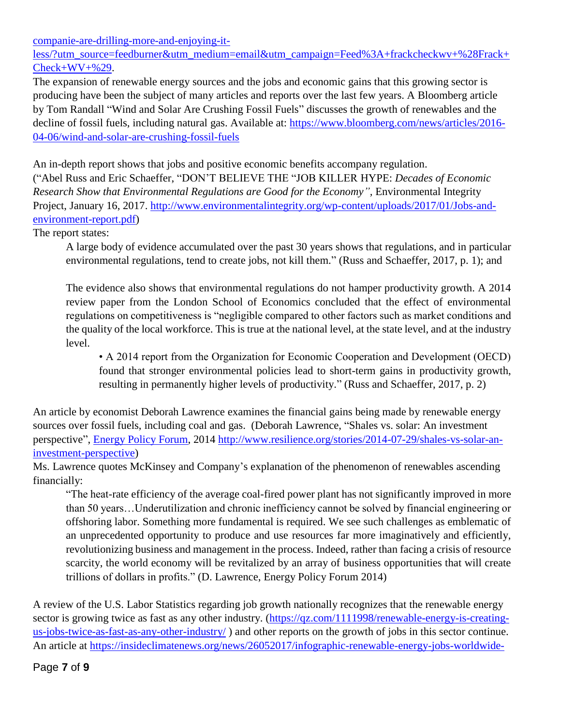[companie-are-drilling-more-and-enjoying-it-](http://www.frackcheckwv.net/2018/05/12/fracking-companie-are-drilling-more-and-enjoying-it-less/?utm_source=feedburner&utm_medium=email&utm_campaign=Feed%3A+frackcheckwv+%28Frack+Check+WV+%29)

[less/?utm\\_source=feedburner&utm\\_medium=email&utm\\_campaign=Feed%3A+frackcheckwv+%28Frack+](http://www.frackcheckwv.net/2018/05/12/fracking-companie-are-drilling-more-and-enjoying-it-less/?utm_source=feedburner&utm_medium=email&utm_campaign=Feed%3A+frackcheckwv+%28Frack+Check+WV+%29)  $Check+WV+%29.$ 

The expansion of renewable energy sources and the jobs and economic gains that this growing sector is producing have been the subject of many articles and reports over the last few years. A Bloomberg article by Tom Randall "Wind and Solar Are Crushing Fossil Fuels" discusses the growth of renewables and the decline of fossil fuels, including natural gas. Available at: [https://www.bloomberg.com/news/articles/2016-](https://www.bloomberg.com/news/articles/2016-04-06/wind-and-solar-are-crushing-fossil-fuels) [04-06/wind-and-solar-are-crushing-fossil-fuels](https://www.bloomberg.com/news/articles/2016-04-06/wind-and-solar-are-crushing-fossil-fuels)

An in-depth report shows that jobs and positive economic benefits accompany regulation. ("Abel Russ and Eric Schaeffer, "DON'T BELIEVE THE "JOB KILLER HYPE: *Decades of Economic Research Show that Environmental Regulations are Good for the Economy",* Environmental Integrity Project, January 16, 2017. [http://www.environmentalintegrity.org/wp-content/uploads/2017/01/Jobs-and](http://www.environmentalintegrity.org/wp-content/uploads/2017/01/Jobs-and-environment-report.pdf)[environment-report.pdf\)](http://www.environmentalintegrity.org/wp-content/uploads/2017/01/Jobs-and-environment-report.pdf)

The report states:

A large body of evidence accumulated over the past 30 years shows that regulations, and in particular environmental regulations, tend to create jobs, not kill them." (Russ and Schaeffer, 2017, p. 1); and

The evidence also shows that environmental regulations do not hamper productivity growth. A 2014 review paper from the London School of Economics concluded that the effect of environmental regulations on competitiveness is "negligible compared to other factors such as market conditions and the quality of the local workforce. This is true at the national level, at the state level, and at the industry level.

• A 2014 report from the Organization for Economic Cooperation and Development (OECD) found that stronger environmental policies lead to short-term gains in productivity growth, resulting in permanently higher levels of productivity." (Russ and Schaeffer, 2017, p. 2)

An article by economist Deborah Lawrence examines the financial gains being made by renewable energy sources over fossil fuels, including coal and gas. (Deborah Lawrence, "Shales vs. solar: An investment perspective", [Energy Policy Forum,](http://energypolicyforum.org/2014/07/25/shales-vs-solar-an-investment-perspective/) 2014 [http://www.resilience.org/stories/2014-07-29/shales-vs-solar-an](http://www.resilience.org/stories/2014-07-29/shales-vs-solar-an-investment-perspective)[investment-perspective\)](http://www.resilience.org/stories/2014-07-29/shales-vs-solar-an-investment-perspective)

Ms. Lawrence quotes McKinsey and Company's explanation of the phenomenon of renewables ascending financially:

"The heat-rate efficiency of the average coal-fired power plant has not significantly improved in more than 50 years…Underutilization and chronic inefficiency cannot be solved by financial engineering or offshoring labor. Something more fundamental is required. We see such challenges as emblematic of an unprecedented opportunity to produce and use resources far more imaginatively and efficiently, revolutionizing business and management in the process. Indeed, rather than facing a crisis of resource scarcity, the world economy will be revitalized by an array of business opportunities that will create trillions of dollars in profits." (D. Lawrence, Energy Policy Forum 2014)

A review of the U.S. Labor Statistics regarding job growth nationally recognizes that the renewable energy sector is growing twice as fast as any other industry. [\(https://qz.com/1111998/renewable-energy-is-creating](https://qz.com/1111998/renewable-energy-is-creating-us-jobs-twice-as-fast-as-any-other-industry/)[us-jobs-twice-as-fast-as-any-other-industry/](https://qz.com/1111998/renewable-energy-is-creating-us-jobs-twice-as-fast-as-any-other-industry/) ) and other reports on the growth of jobs in this sector continue. An article at [https://insideclimatenews.org/news/26052017/infographic-renewable-energy-jobs-worldwide-](https://insideclimatenews.org/news/26052017/infographic-renewable-energy-jobs-worldwide-solar-wind-trump)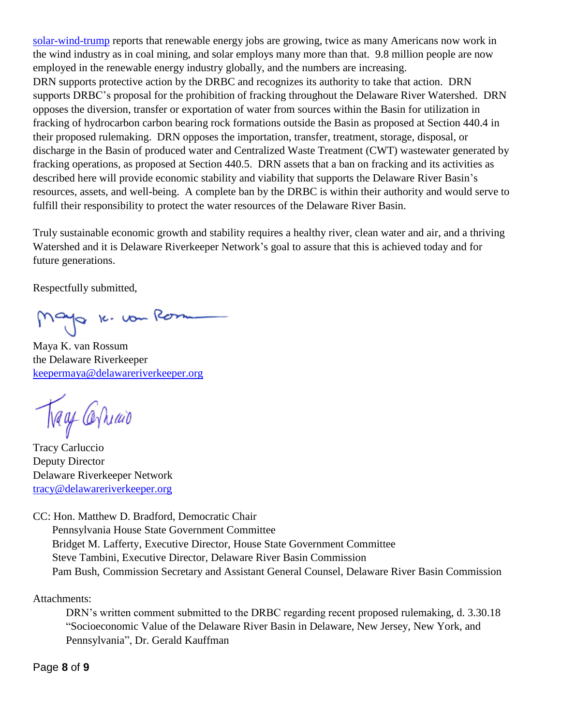[solar-wind-trump](https://insideclimatenews.org/news/26052017/infographic-renewable-energy-jobs-worldwide-solar-wind-trump) reports that renewable energy jobs are growing, twice as many Americans now work in the wind industry as in coal mining, and solar employs many more than that. 9.8 million people are now employed in the renewable energy industry globally, and the numbers are increasing. DRN supports protective action by the DRBC and recognizes its authority to take that action. DRN supports DRBC's proposal for the prohibition of fracking throughout the Delaware River Watershed. DRN opposes the diversion, transfer or exportation of water from sources within the Basin for utilization in fracking of hydrocarbon carbon bearing rock formations outside the Basin as proposed at Section 440.4 in their proposed rulemaking. DRN opposes the importation, transfer, treatment, storage, disposal, or discharge in the Basin of produced water and Centralized Waste Treatment (CWT) wastewater generated by fracking operations, as proposed at Section 440.5. DRN assets that a ban on fracking and its activities as described here will provide economic stability and viability that supports the Delaware River Basin's resources, assets, and well-being. A complete ban by the DRBC is within their authority and would serve to fulfill their responsibility to protect the water resources of the Delaware River Basin.

Truly sustainable economic growth and stability requires a healthy river, clean water and air, and a thriving Watershed and it is Delaware Riverkeeper Network's goal to assure that this is achieved today and for future generations.

Respectfully submitted,

Mayo K. von Rom

Maya K. van Rossum the Delaware Riverkeeper [keepermaya@delawareriverkeeper.org](mailto:keepermaya@delawareriverkeeper.org)

Trage Canar

Tracy Carluccio Deputy Director Delaware Riverkeeper Network [tracy@delawareriverkeeper.org](mailto:tracy@delawareriverkeeper.org)

CC: Hon. Matthew D. Bradford, Democratic Chair

 Pennsylvania House State Government Committee Bridget M. Lafferty, Executive Director, House State Government Committee Steve Tambini, Executive Director, Delaware River Basin Commission Pam Bush, Commission Secretary and Assistant General Counsel, Delaware River Basin Commission

Attachments:

DRN's written comment submitted to the DRBC regarding recent proposed rulemaking, d. 3.30.18 "Socioeconomic Value of the Delaware River Basin in Delaware, New Jersey, New York, and Pennsylvania", Dr. Gerald Kauffman